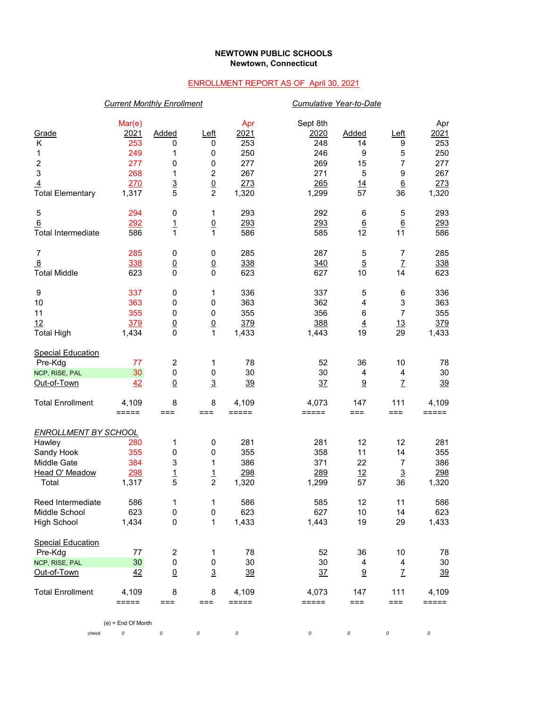## **NEWTOWN PUBLIC SCHOOLS Newtown, Connecticut**

## ENROLLMENT REPORT AS OF April 30, 2021

|                                                                                                 | <b>Current Monthly Enrollment</b>                          |                                                         |                                                           |                                                         |                                                              | Cumulative Year-to-Date                        |                                                                   |                                                         |  |
|-------------------------------------------------------------------------------------------------|------------------------------------------------------------|---------------------------------------------------------|-----------------------------------------------------------|---------------------------------------------------------|--------------------------------------------------------------|------------------------------------------------|-------------------------------------------------------------------|---------------------------------------------------------|--|
| Grade<br>Κ<br>1<br>$\boldsymbol{2}$<br>3<br>$\overline{4}$<br><b>Total Elementary</b>           | Mar(e)<br>2021<br>253<br>249<br>277<br>268<br>270<br>1,317 | <b>Added</b><br>0<br>1<br>0<br>1<br>$\frac{3}{5}$       | $L$ eft<br>0<br>0<br>0<br>$\overline{2}$<br>$\frac{0}{2}$ | Apr<br>2021<br>253<br>250<br>277<br>267<br>273<br>1,320 | Sept 8th<br>2020<br>248<br>246<br>269<br>271<br>265<br>1,299 | <b>Added</b><br>14<br>9<br>15<br>5<br>14<br>57 | $L$ eft<br>9<br>5<br>$\overline{7}$<br>9<br>$\underline{6}$<br>36 | Apr<br>2021<br>253<br>250<br>277<br>267<br>273<br>1,320 |  |
| 5<br>6<br><b>Total Intermediate</b>                                                             | 294<br>292<br>586                                          | $\pmb{0}$<br>$\overline{1}$<br>$\mathbf{1}$             | 1<br>$\underline{0}$<br>1                                 | 293<br>293<br>586                                       | 292<br>293<br>585                                            | 6<br>$6\overline{6}$<br>12                     | 5<br>$6\phantom{1}$<br>11                                         | 293<br>293<br>586                                       |  |
| $\boldsymbol{7}$<br>$\overline{8}$<br><b>Total Middle</b>                                       | 285<br>338<br>623                                          | $\pmb{0}$<br>$\underline{0}$<br>$\mathbf 0$             | 0<br>$\underline{0}$<br>$\mathbf 0$                       | 285<br>338<br>623                                       | 287<br>340<br>627                                            | 5<br>$\overline{5}$<br>10                      | $\overline{7}$<br>$\mathbf{Z}$<br>14                              | 285<br>338<br>623                                       |  |
| 9<br>10<br>11<br>12<br><b>Total High</b>                                                        | 337<br>363<br>355<br>379<br>1,434                          | 0<br>0<br>0<br>$\frac{0}{0}$                            | 1<br>0<br>0<br>$\frac{0}{1}$                              | 336<br>363<br>355<br>379<br>1,433                       | 337<br>362<br>356<br>388<br>1,443                            | $\mathbf 5$<br>4<br>6<br>$\overline{4}$<br>19  | 6<br>$\ensuremath{\mathsf{3}}$<br>$\overline{7}$<br>13<br>29      | 336<br>363<br>355<br>379<br>1,433                       |  |
| <b>Special Education</b><br>Pre-Kdg<br>NCP, RISE, PAL<br>Out-of-Town                            | 77<br>30<br>42                                             | $\overline{\mathbf{c}}$<br>$\pmb{0}$<br>$\underline{0}$ | 1<br>0<br>$\overline{3}$                                  | 78<br>30<br>39                                          | 52<br>30<br>37                                               | 36<br>4<br>$\underline{9}$                     | 10<br>$\overline{4}$<br>$\mathbf{Z}$                              | 78<br>30<br>39                                          |  |
| <b>Total Enrollment</b>                                                                         | 4,109<br>$=====$                                           | 8<br>$==$                                               | 8<br>$==$                                                 | 4,109<br>$=====$                                        | 4,073<br>=====                                               | 147<br>$==$                                    | 111<br>$==$                                                       | 4,109<br>$=====$                                        |  |
| <b>ENROLLMENT BY SCHOOL</b><br>Hawley<br>Sandy Hook<br>Middle Gate<br>Head O' Meadow<br>Total   | 280<br>355<br>384<br>298<br>1,317                          | 1<br>0<br>3<br>$\frac{1}{5}$                            | 0<br>0<br>1<br>$\frac{1}{2}$                              | 281<br>355<br>386<br>298<br>1,320                       | 281<br>358<br>371<br>289<br>1,299                            | 12<br>11<br>22<br>12<br>57                     | 12<br>14<br>7<br>$\overline{3}$<br>36                             | 281<br>355<br>386<br><u>298</u><br>1,320                |  |
| Reed Intermediate<br>Middle School<br><b>High School</b>                                        | 586<br>623<br>1,434                                        | 1<br>$\pmb{0}$<br>$\pmb{0}$                             | 1<br>0<br>$\mathbf 1$                                     | 586<br>623<br>1,433                                     | 585<br>627<br>1,443                                          | 12<br>10<br>19                                 | 11<br>14<br>29                                                    | 586<br>623<br>1,433                                     |  |
| <b>Special Education</b><br>Pre-Kdg<br>NCP, RISE, PAL<br>Out-of-Town<br><b>Total Enrollment</b> | 77<br>30<br>42<br>4,109                                    | $\overline{c}$<br>$\pmb{0}$<br>$\underline{0}$<br>8     | 1<br>$\pmb{0}$<br>$\overline{3}$<br>8                     | 78<br>30<br><u>39</u><br>4,109                          | 52<br>30<br>$\frac{37}{2}$<br>4,073                          | 36<br>4<br>9<br>147                            | 10<br>4<br>$\mathbf{Z}$<br>111                                    | 78<br>$30\,$<br>$\frac{39}{2}$<br>4,109                 |  |
| check                                                                                           | =====<br>$(e)$ = End Of Month<br>0                         | ===<br>$\it{O}$                                         | ===<br>0                                                  | =====<br>0                                              | =====<br>0                                                   | $==$<br>0                                      | ===<br>0                                                          | =====<br>0                                              |  |